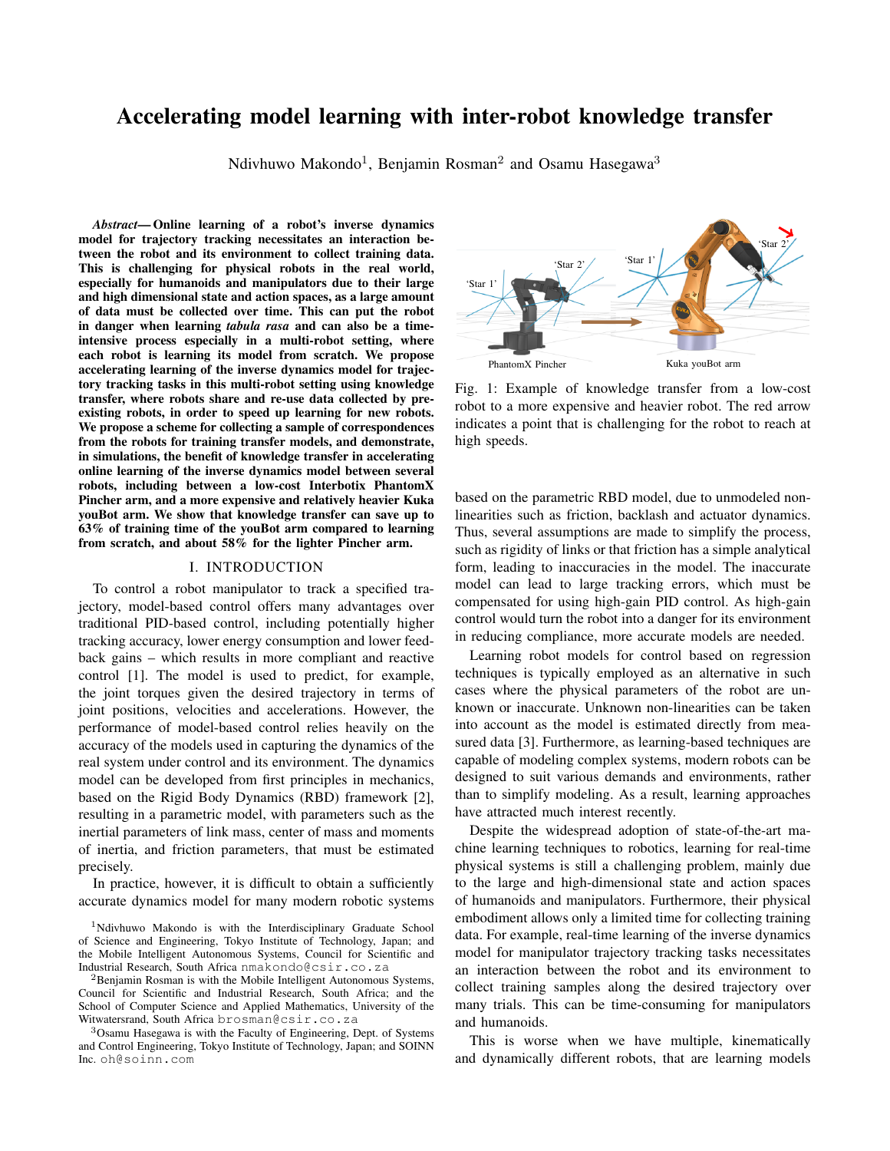# Accelerating model learning with inter-robot knowledge transfer

Ndivhuwo Makondo<sup>1</sup>, Benjamin Rosman<sup>2</sup> and Osamu Hasegawa<sup>3</sup>

*Abstract*— Online learning of a robot's inverse dynamics model for trajectory tracking necessitates an interaction between the robot and its environment to collect training data. This is challenging for physical robots in the real world, especially for humanoids and manipulators due to their large and high dimensional state and action spaces, as a large amount of data must be collected over time. This can put the robot in danger when learning *tabula rasa* and can also be a timeintensive process especially in a multi-robot setting, where each robot is learning its model from scratch. We propose accelerating learning of the inverse dynamics model for trajectory tracking tasks in this multi-robot setting using knowledge transfer, where robots share and re-use data collected by preexisting robots, in order to speed up learning for new robots. We propose a scheme for collecting a sample of correspondences from the robots for training transfer models, and demonstrate, in simulations, the benefit of knowledge transfer in accelerating online learning of the inverse dynamics model between several robots, including between a low-cost Interbotix PhantomX Pincher arm, and a more expensive and relatively heavier Kuka youBot arm. We show that knowledge transfer can save up to 63% of training time of the youBot arm compared to learning from scratch, and about 58% for the lighter Pincher arm.

## I. INTRODUCTION

To control a robot manipulator to track a specified trajectory, model-based control offers many advantages over traditional PID-based control, including potentially higher tracking accuracy, lower energy consumption and lower feedback gains – which results in more compliant and reactive control [1]. The model is used to predict, for example, the joint torques given the desired trajectory in terms of joint positions, velocities and accelerations. However, the performance of model-based control relies heavily on the accuracy of the models used in capturing the dynamics of the real system under control and its environment. The dynamics model can be developed from first principles in mechanics, based on the Rigid Body Dynamics (RBD) framework [2], resulting in a parametric model, with parameters such as the inertial parameters of link mass, center of mass and moments of inertia, and friction parameters, that must be estimated precisely.

In practice, however, it is difficult to obtain a sufficiently accurate dynamics model for many modern robotic systems



Fig. 1: Example of knowledge transfer from a low-cost robot to a more expensive and heavier robot. The red arrow indicates a point that is challenging for the robot to reach at high speeds.

based on the parametric RBD model, due to unmodeled nonlinearities such as friction, backlash and actuator dynamics. Thus, several assumptions are made to simplify the process, such as rigidity of links or that friction has a simple analytical form, leading to inaccuracies in the model. The inaccurate model can lead to large tracking errors, which must be compensated for using high-gain PID control. As high-gain control would turn the robot into a danger for its environment in reducing compliance, more accurate models are needed.

Learning robot models for control based on regression techniques is typically employed as an alternative in such cases where the physical parameters of the robot are unknown or inaccurate. Unknown non-linearities can be taken into account as the model is estimated directly from measured data [3]. Furthermore, as learning-based techniques are capable of modeling complex systems, modern robots can be designed to suit various demands and environments, rather than to simplify modeling. As a result, learning approaches have attracted much interest recently.

Despite the widespread adoption of state-of-the-art machine learning techniques to robotics, learning for real-time physical systems is still a challenging problem, mainly due to the large and high-dimensional state and action spaces of humanoids and manipulators. Furthermore, their physical embodiment allows only a limited time for collecting training data. For example, real-time learning of the inverse dynamics model for manipulator trajectory tracking tasks necessitates an interaction between the robot and its environment to collect training samples along the desired trajectory over many trials. This can be time-consuming for manipulators and humanoids.

This is worse when we have multiple, kinematically and dynamically different robots, that are learning models

<sup>&</sup>lt;sup>1</sup>Ndivhuwo Makondo is with the Interdisciplinary Graduate School of Science and Engineering, Tokyo Institute of Technology, Japan; and the Mobile Intelligent Autonomous Systems, Council for Scientific and Industrial Research, South Africa nmakondo@csir.co.za

<sup>2</sup>Benjamin Rosman is with the Mobile Intelligent Autonomous Systems, Council for Scientific and Industrial Research, South Africa; and the School of Computer Science and Applied Mathematics, University of the Witwatersrand, South Africa brosman@csir.co.za

<sup>3</sup>Osamu Hasegawa is with the Faculty of Engineering, Dept. of Systems and Control Engineering, Tokyo Institute of Technology, Japan; and SOINN Inc. oh@soinn.com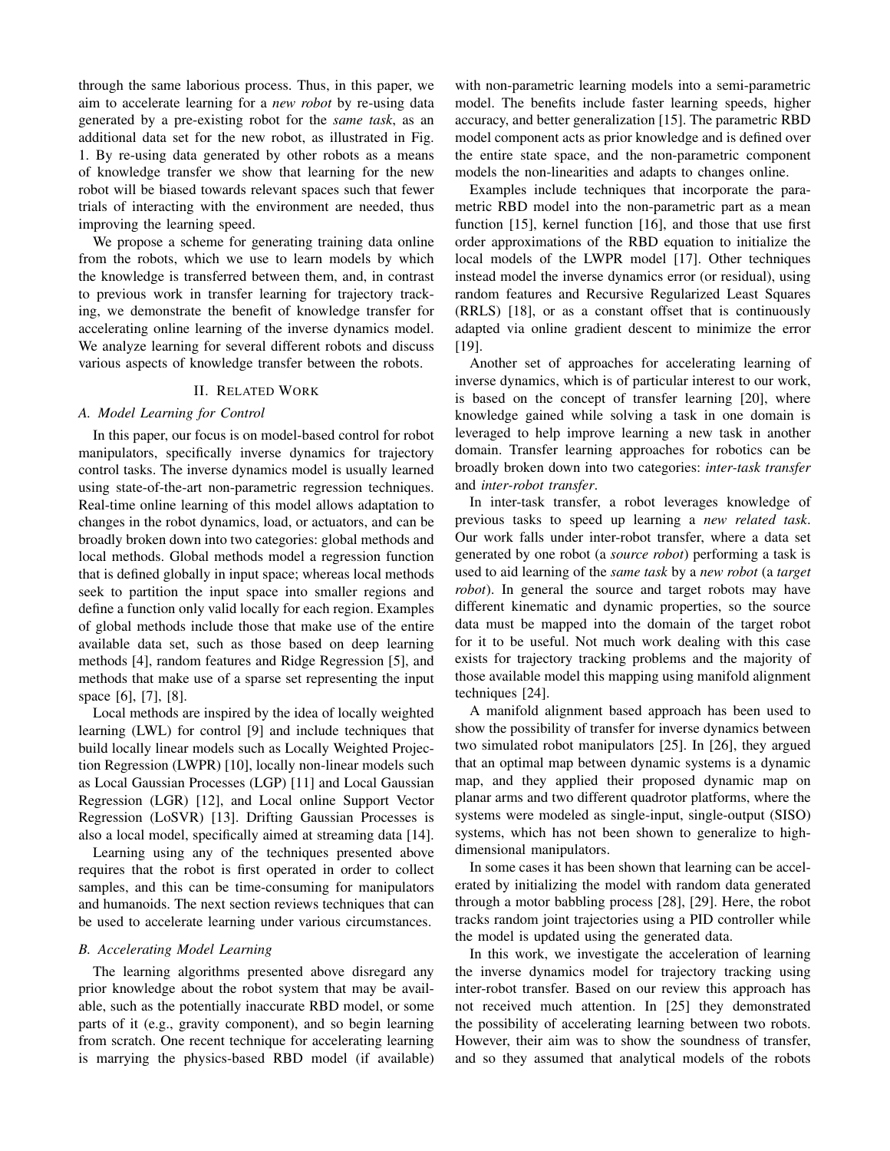through the same laborious process. Thus, in this paper, we aim to accelerate learning for a *new robot* by re-using data generated by a pre-existing robot for the *same task*, as an additional data set for the new robot, as illustrated in Fig. 1. By re-using data generated by other robots as a means of knowledge transfer we show that learning for the new robot will be biased towards relevant spaces such that fewer trials of interacting with the environment are needed, thus improving the learning speed.

We propose a scheme for generating training data online from the robots, which we use to learn models by which the knowledge is transferred between them, and, in contrast to previous work in transfer learning for trajectory tracking, we demonstrate the benefit of knowledge transfer for accelerating online learning of the inverse dynamics model. We analyze learning for several different robots and discuss various aspects of knowledge transfer between the robots.

## II. RELATED WORK

#### *A. Model Learning for Control*

In this paper, our focus is on model-based control for robot manipulators, specifically inverse dynamics for trajectory control tasks. The inverse dynamics model is usually learned using state-of-the-art non-parametric regression techniques. Real-time online learning of this model allows adaptation to changes in the robot dynamics, load, or actuators, and can be broadly broken down into two categories: global methods and local methods. Global methods model a regression function that is defined globally in input space; whereas local methods seek to partition the input space into smaller regions and define a function only valid locally for each region. Examples of global methods include those that make use of the entire available data set, such as those based on deep learning methods [4], random features and Ridge Regression [5], and methods that make use of a sparse set representing the input space [6], [7], [8].

Local methods are inspired by the idea of locally weighted learning (LWL) for control [9] and include techniques that build locally linear models such as Locally Weighted Projection Regression (LWPR) [10], locally non-linear models such as Local Gaussian Processes (LGP) [11] and Local Gaussian Regression (LGR) [12], and Local online Support Vector Regression (LoSVR) [13]. Drifting Gaussian Processes is also a local model, specifically aimed at streaming data [14].

Learning using any of the techniques presented above requires that the robot is first operated in order to collect samples, and this can be time-consuming for manipulators and humanoids. The next section reviews techniques that can be used to accelerate learning under various circumstances.

## *B. Accelerating Model Learning*

The learning algorithms presented above disregard any prior knowledge about the robot system that may be available, such as the potentially inaccurate RBD model, or some parts of it (e.g., gravity component), and so begin learning from scratch. One recent technique for accelerating learning is marrying the physics-based RBD model (if available) with non-parametric learning models into a semi-parametric model. The benefits include faster learning speeds, higher accuracy, and better generalization [15]. The parametric RBD model component acts as prior knowledge and is defined over the entire state space, and the non-parametric component models the non-linearities and adapts to changes online.

Examples include techniques that incorporate the parametric RBD model into the non-parametric part as a mean function [15], kernel function [16], and those that use first order approximations of the RBD equation to initialize the local models of the LWPR model [17]. Other techniques instead model the inverse dynamics error (or residual), using random features and Recursive Regularized Least Squares (RRLS) [18], or as a constant offset that is continuously adapted via online gradient descent to minimize the error [19].

Another set of approaches for accelerating learning of inverse dynamics, which is of particular interest to our work, is based on the concept of transfer learning [20], where knowledge gained while solving a task in one domain is leveraged to help improve learning a new task in another domain. Transfer learning approaches for robotics can be broadly broken down into two categories: *inter-task transfer* and *inter-robot transfer*.

In inter-task transfer, a robot leverages knowledge of previous tasks to speed up learning a *new related task*. Our work falls under inter-robot transfer, where a data set generated by one robot (a *source robot*) performing a task is used to aid learning of the *same task* by a *new robot* (a *target robot*). In general the source and target robots may have different kinematic and dynamic properties, so the source data must be mapped into the domain of the target robot for it to be useful. Not much work dealing with this case exists for trajectory tracking problems and the majority of those available model this mapping using manifold alignment techniques [24].

A manifold alignment based approach has been used to show the possibility of transfer for inverse dynamics between two simulated robot manipulators [25]. In [26], they argued that an optimal map between dynamic systems is a dynamic map, and they applied their proposed dynamic map on planar arms and two different quadrotor platforms, where the systems were modeled as single-input, single-output (SISO) systems, which has not been shown to generalize to highdimensional manipulators.

In some cases it has been shown that learning can be accelerated by initializing the model with random data generated through a motor babbling process [28], [29]. Here, the robot tracks random joint trajectories using a PID controller while the model is updated using the generated data.

In this work, we investigate the acceleration of learning the inverse dynamics model for trajectory tracking using inter-robot transfer. Based on our review this approach has not received much attention. In [25] they demonstrated the possibility of accelerating learning between two robots. However, their aim was to show the soundness of transfer, and so they assumed that analytical models of the robots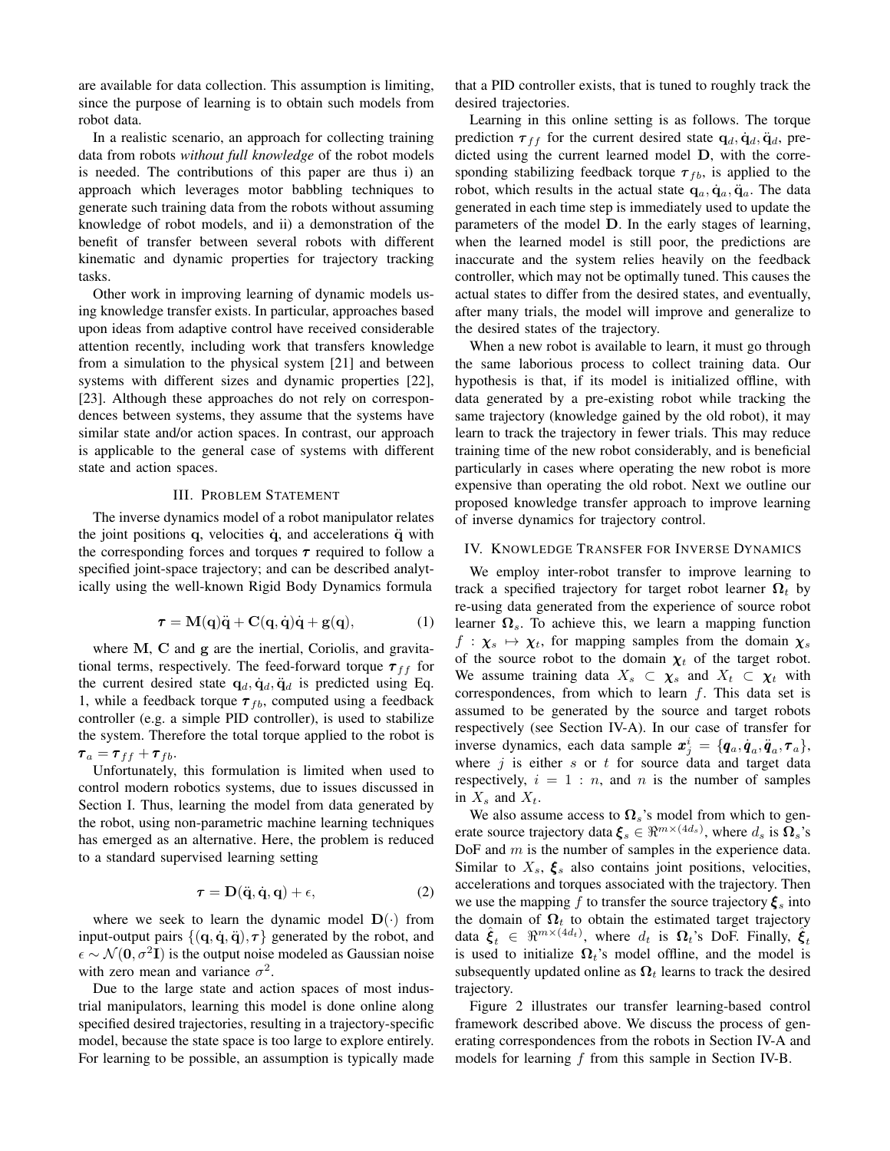are available for data collection. This assumption is limiting, since the purpose of learning is to obtain such models from robot data.

In a realistic scenario, an approach for collecting training data from robots *without full knowledge* of the robot models is needed. The contributions of this paper are thus i) an approach which leverages motor babbling techniques to generate such training data from the robots without assuming knowledge of robot models, and ii) a demonstration of the benefit of transfer between several robots with different kinematic and dynamic properties for trajectory tracking tasks.

Other work in improving learning of dynamic models using knowledge transfer exists. In particular, approaches based upon ideas from adaptive control have received considerable attention recently, including work that transfers knowledge from a simulation to the physical system [21] and between systems with different sizes and dynamic properties [22], [23]. Although these approaches do not rely on correspondences between systems, they assume that the systems have similar state and/or action spaces. In contrast, our approach is applicable to the general case of systems with different state and action spaces.

## III. PROBLEM STATEMENT

The inverse dynamics model of a robot manipulator relates the joint positions  $q$ , velocities  $\dot{q}$ , and accelerations  $\ddot{q}$  with the corresponding forces and torques  $\tau$  required to follow a specified joint-space trajectory; and can be described analytically using the well-known Rigid Body Dynamics formula

$$
\tau = M(q)\ddot{q} + C(q, \dot{q})\dot{q} + g(q), \qquad (1)
$$

where M, C and g are the inertial, Coriolis, and gravitational terms, respectively. The feed-forward torque  $\tau_{ff}$  for the current desired state  $\mathbf{q}_d, \dot{\mathbf{q}}_d, \ddot{\mathbf{q}}_d$  is predicted using Eq. 1, while a feedback torque  $\tau_{fb}$ , computed using a feedback controller (e.g. a simple PID controller), is used to stabilize the system. Therefore the total torque applied to the robot is  $\tau_a = \tau_{ff} + \tau_{fb}.$ 

Unfortunately, this formulation is limited when used to control modern robotics systems, due to issues discussed in Section I. Thus, learning the model from data generated by the robot, using non-parametric machine learning techniques has emerged as an alternative. Here, the problem is reduced to a standard supervised learning setting

$$
\tau = D(\ddot{q}, \dot{q}, q) + \epsilon,\tag{2}
$$

where we seek to learn the dynamic model  $\mathbf{D}(\cdot)$  from input-output pairs  $\{(\mathbf{q}, \dot{\mathbf{q}}, \ddot{\mathbf{q}}), \boldsymbol{\tau}\}\$  generated by the robot, and  $\epsilon \sim \mathcal{N}(\mathbf{0}, \sigma^2 \mathbf{I})$  is the output noise modeled as Gaussian noise with zero mean and variance  $\sigma^2$ .

Due to the large state and action spaces of most industrial manipulators, learning this model is done online along specified desired trajectories, resulting in a trajectory-specific model, because the state space is too large to explore entirely. For learning to be possible, an assumption is typically made that a PID controller exists, that is tuned to roughly track the desired trajectories.

Learning in this online setting is as follows. The torque prediction  $\tau_{ff}$  for the current desired state  $q_d, \dot{q}_d, \ddot{q}_d$ , predicted using the current learned model D, with the corresponding stabilizing feedback torque  $\tau_{fb}$ , is applied to the robot, which results in the actual state  $\mathbf{q}_a, \dot{\mathbf{q}}_a, \ddot{\mathbf{q}}_a$ . The data generated in each time step is immediately used to update the parameters of the model D. In the early stages of learning, when the learned model is still poor, the predictions are inaccurate and the system relies heavily on the feedback controller, which may not be optimally tuned. This causes the actual states to differ from the desired states, and eventually, after many trials, the model will improve and generalize to the desired states of the trajectory.

When a new robot is available to learn, it must go through the same laborious process to collect training data. Our hypothesis is that, if its model is initialized offline, with data generated by a pre-existing robot while tracking the same trajectory (knowledge gained by the old robot), it may learn to track the trajectory in fewer trials. This may reduce training time of the new robot considerably, and is beneficial particularly in cases where operating the new robot is more expensive than operating the old robot. Next we outline our proposed knowledge transfer approach to improve learning of inverse dynamics for trajectory control.

## IV. KNOWLEDGE TRANSFER FOR INVERSE DYNAMICS

We employ inter-robot transfer to improve learning to track a specified trajectory for target robot learner  $\Omega_t$  by re-using data generated from the experience of source robot learner  $\Omega_s$ . To achieve this, we learn a mapping function  $f : \chi_s \mapsto \chi_t$ , for mapping samples from the domain  $\chi_s$ of the source robot to the domain  $\chi_t$  of the target robot. We assume training data  $X_s \subset \chi_s$  and  $X_t \subset \chi_t$  with correspondences, from which to learn  $f$ . This data set is assumed to be generated by the source and target robots respectively (see Section IV-A). In our case of transfer for inverse dynamics, each data sample  $\mathbf{x}_j^i = \{q_a, \dot{q}_a, \ddot{q}_a, \tau_a\},$ where  $j$  is either s or t for source data and target data respectively,  $i = 1 : n$ , and n is the number of samples in  $X_s$  and  $X_t$ .

We also assume access to  $\Omega_s$ 's model from which to generate source trajectory data  $\xi_s \in \Re^{m \times (4d_s)}$ , where  $d_s$  is  $\Omega_s$ 's DoF and m is the number of samples in the experience data. Similar to  $X_s$ ,  $\xi_s$  also contains joint positions, velocities, accelerations and torques associated with the trajectory. Then we use the mapping f to transfer the source trajectory  $\xi_s$  into the domain of  $\Omega_t$  to obtain the estimated target trajectory data  $\hat{\xi}_t \in \Re^{m \times (4d_t)}$ , where  $d_t$  is  $\Omega_t$ 's DoF. Finally,  $\hat{\xi}_t$ is used to initialize  $\Omega_t$ 's model offline, and the model is subsequently updated online as  $\Omega_t$  learns to track the desired trajectory.

Figure 2 illustrates our transfer learning-based control framework described above. We discuss the process of generating correspondences from the robots in Section IV-A and models for learning f from this sample in Section IV-B.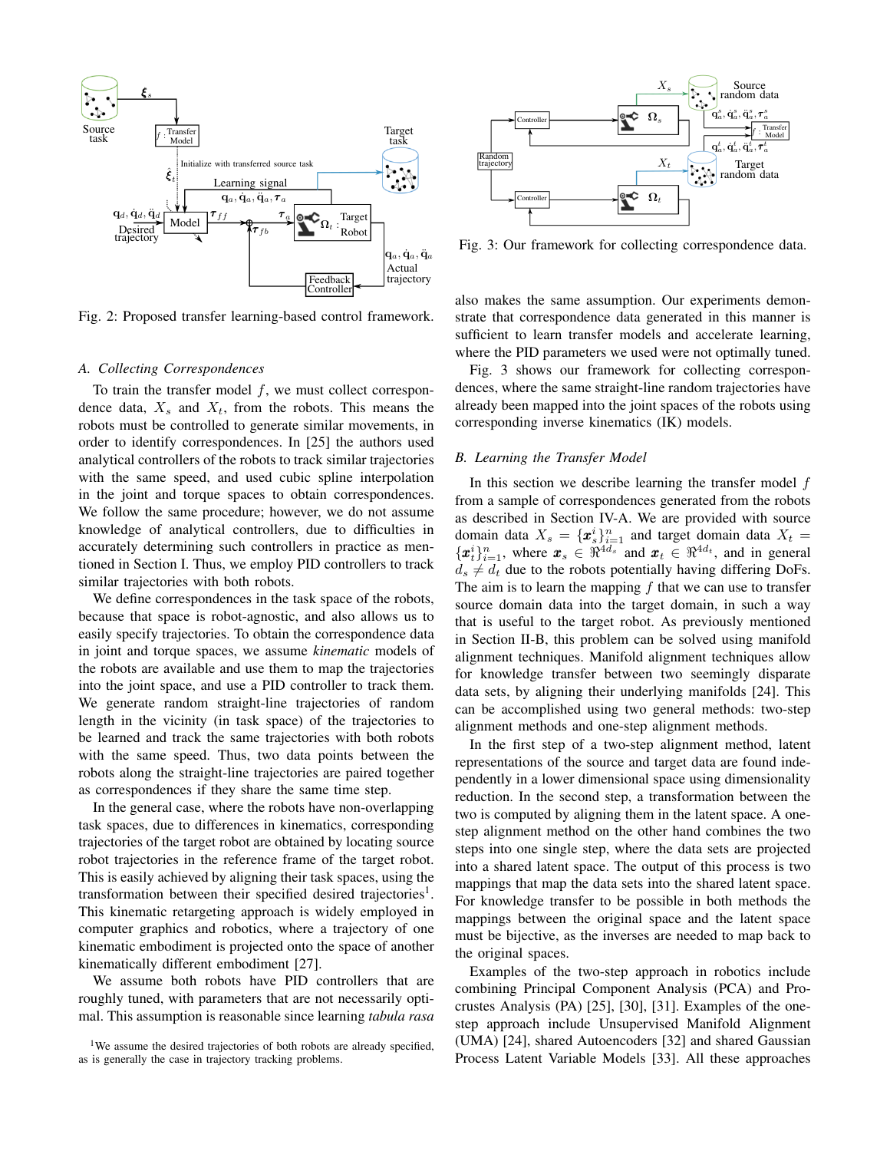

Fig. 2: Proposed transfer learning-based control framework.

## *A. Collecting Correspondences*

To train the transfer model  $f$ , we must collect correspondence data,  $X_s$  and  $X_t$ , from the robots. This means the robots must be controlled to generate similar movements, in order to identify correspondences. In [25] the authors used analytical controllers of the robots to track similar trajectories with the same speed, and used cubic spline interpolation in the joint and torque spaces to obtain correspondences. We follow the same procedure; however, we do not assume knowledge of analytical controllers, due to difficulties in accurately determining such controllers in practice as mentioned in Section I. Thus, we employ PID controllers to track similar trajectories with both robots.

We define correspondences in the task space of the robots, because that space is robot-agnostic, and also allows us to easily specify trajectories. To obtain the correspondence data in joint and torque spaces, we assume *kinematic* models of the robots are available and use them to map the trajectories into the joint space, and use a PID controller to track them. We generate random straight-line trajectories of random length in the vicinity (in task space) of the trajectories to be learned and track the same trajectories with both robots with the same speed. Thus, two data points between the robots along the straight-line trajectories are paired together as correspondences if they share the same time step.

In the general case, where the robots have non-overlapping task spaces, due to differences in kinematics, corresponding trajectories of the target robot are obtained by locating source robot trajectories in the reference frame of the target robot. This is easily achieved by aligning their task spaces, using the transformation between their specified desired trajectories<sup>1</sup>. This kinematic retargeting approach is widely employed in computer graphics and robotics, where a trajectory of one kinematic embodiment is projected onto the space of another kinematically different embodiment [27].

We assume both robots have PID controllers that are roughly tuned, with parameters that are not necessarily optimal. This assumption is reasonable since learning *tabula rasa*



Fig. 3: Our framework for collecting correspondence data.

also makes the same assumption. Our experiments demonstrate that correspondence data generated in this manner is sufficient to learn transfer models and accelerate learning, where the PID parameters we used were not optimally tuned.

Fig. 3 shows our framework for collecting correspondences, where the same straight-line random trajectories have already been mapped into the joint spaces of the robots using corresponding inverse kinematics (IK) models.

## *B. Learning the Transfer Model*

In this section we describe learning the transfer model  $f$ from a sample of correspondences generated from the robots as described in Section IV-A. We are provided with source domain data  $X_s = {\mathbf{x}_s^i}_{i=1}^n$  and target domain data  $X_t =$  $\{\boldsymbol{x}_t^i\}_{i=1}^n$ , where  $\boldsymbol{x}_s \in \Re^{4d_s}$  and  $\boldsymbol{x}_t \in \Re^{4d_t}$ , and in general  $d_s \neq d_t$  due to the robots potentially having differing DoFs. The aim is to learn the mapping  $f$  that we can use to transfer source domain data into the target domain, in such a way that is useful to the target robot. As previously mentioned in Section II-B, this problem can be solved using manifold alignment techniques. Manifold alignment techniques allow for knowledge transfer between two seemingly disparate data sets, by aligning their underlying manifolds [24]. This can be accomplished using two general methods: two-step alignment methods and one-step alignment methods.

In the first step of a two-step alignment method, latent representations of the source and target data are found independently in a lower dimensional space using dimensionality reduction. In the second step, a transformation between the two is computed by aligning them in the latent space. A onestep alignment method on the other hand combines the two steps into one single step, where the data sets are projected into a shared latent space. The output of this process is two mappings that map the data sets into the shared latent space. For knowledge transfer to be possible in both methods the mappings between the original space and the latent space must be bijective, as the inverses are needed to map back to the original spaces.

Examples of the two-step approach in robotics include combining Principal Component Analysis (PCA) and Procrustes Analysis (PA) [25], [30], [31]. Examples of the onestep approach include Unsupervised Manifold Alignment (UMA) [24], shared Autoencoders [32] and shared Gaussian Process Latent Variable Models [33]. All these approaches

<sup>&</sup>lt;sup>1</sup>We assume the desired trajectories of both robots are already specified, as is generally the case in trajectory tracking problems.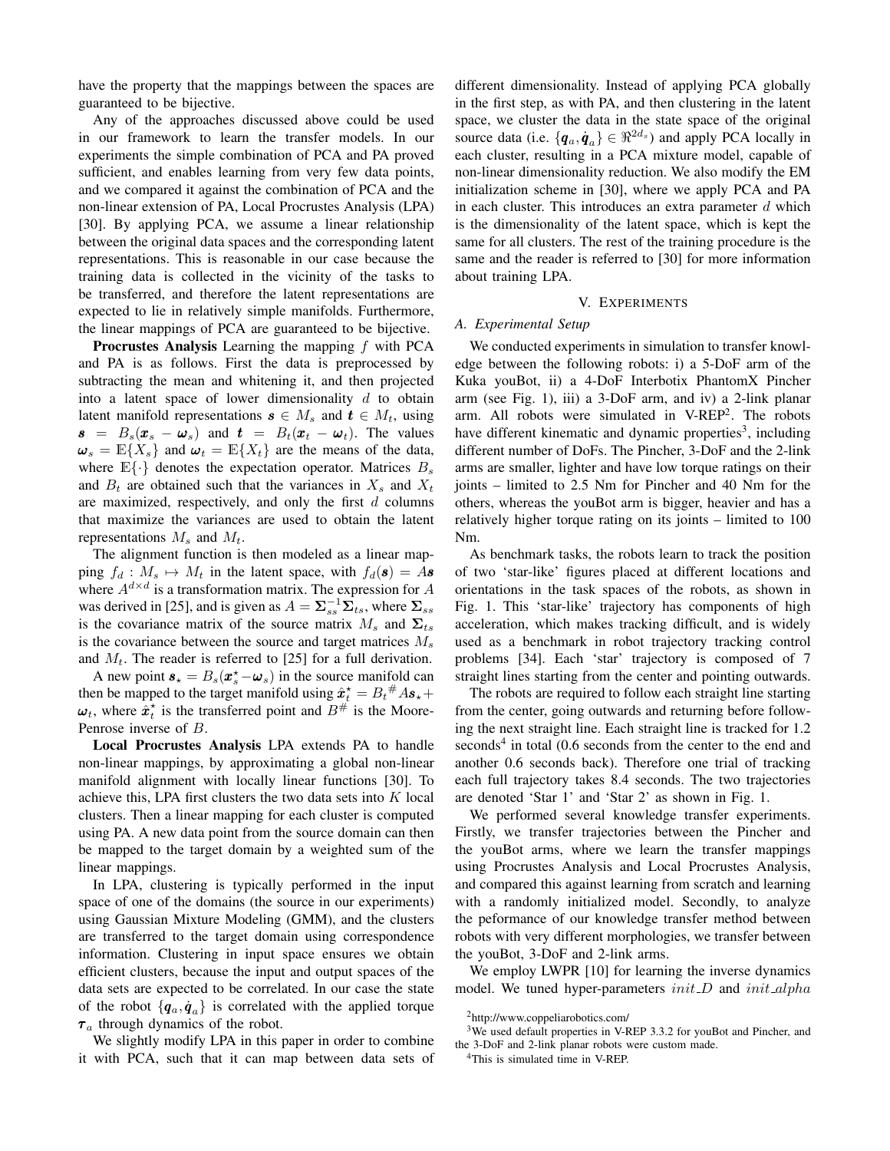have the property that the mappings between the spaces are guaranteed to be bijective.

Any of the approaches discussed above could be used in our framework to learn the transfer models. In our experiments the simple combination of PCA and PA proved sufficient, and enables learning from very few data points, and we compared it against the combination of PCA and the non-linear extension of PA, Local Procrustes Analysis (LPA) [30]. By applying PCA, we assume a linear relationship between the original data spaces and the corresponding latent representations. This is reasonable in our case because the training data is collected in the vicinity of the tasks to be transferred, and therefore the latent representations are expected to lie in relatively simple manifolds. Furthermore, the linear mappings of PCA are guaranteed to be bijective.

**Procrustes Analysis** Learning the mapping  $f$  with PCA and PA is as follows. First the data is preprocessed by subtracting the mean and whitening it, and then projected into a latent space of lower dimensionality  $d$  to obtain latent manifold representations  $\boldsymbol{s} \in M_s$  and  $\boldsymbol{t} \in M_t$ , using  $\mathbf{s} = B_s(\mathbf{x}_s - \mathbf{\omega}_s)$  and  $\mathbf{t} = B_t(\mathbf{x}_t - \mathbf{\omega}_t)$ . The values  $\omega_s = \mathbb{E}\{X_s\}$  and  $\omega_t = \mathbb{E}\{X_t\}$  are the means of the data, where  $\mathbb{E}\{\cdot\}$  denotes the expectation operator. Matrices  $B_s$ and  $B_t$  are obtained such that the variances in  $X_s$  and  $X_t$ are maximized, respectively, and only the first  $d$  columns that maximize the variances are used to obtain the latent representations  $M_s$  and  $M_t$ .

The alignment function is then modeled as a linear mapping  $f_d : M_s \mapsto M_t$  in the latent space, with  $f_d(\mathbf{s}) = A\mathbf{s}$ where  $A^{d \times d}$  is a transformation matrix. The expression for A was derived in [25], and is given as  $A = \sum_{ss}^{-1} \overline{\Sigma}_{ts}$ , where  $\Sigma_{ss}$ is the covariance matrix of the source matrix  $M_s$  and  $\Sigma_{ts}$ is the covariance between the source and target matrices  $M_s$ and  $M_t$ . The reader is referred to [25] for a full derivation.

A new point  $s_{\star} = B_s(x_{s}^{\star} - \omega_s)$  in the source manifold can then be mapped to the target manifold using  $\hat{x}_t^* = B_t^{\#} A s_* +$  $\omega_t$ , where  $\hat{x}_t^*$  is the transferred point and  $B^{\#}$  is the Moore-Penrose inverse of B.

Local Procrustes Analysis LPA extends PA to handle non-linear mappings, by approximating a global non-linear manifold alignment with locally linear functions [30]. To achieve this, LPA first clusters the two data sets into  $K$  local clusters. Then a linear mapping for each cluster is computed using PA. A new data point from the source domain can then be mapped to the target domain by a weighted sum of the linear mappings.

In LPA, clustering is typically performed in the input space of one of the domains (the source in our experiments) using Gaussian Mixture Modeling (GMM), and the clusters are transferred to the target domain using correspondence information. Clustering in input space ensures we obtain efficient clusters, because the input and output spaces of the data sets are expected to be correlated. In our case the state of the robot  $\{q_a, \dot{q}_a\}$  is correlated with the applied torque  $\tau_a$  through dynamics of the robot.

We slightly modify LPA in this paper in order to combine it with PCA, such that it can map between data sets of different dimensionality. Instead of applying PCA globally in the first step, as with PA, and then clustering in the latent space, we cluster the data in the state space of the original source data (i.e.  $\{q_a, \dot{q}_a\} \in \mathbb{R}^{2d_s}$ ) and apply PCA locally in each cluster, resulting in a PCA mixture model, capable of non-linear dimensionality reduction. We also modify the EM initialization scheme in [30], where we apply PCA and PA in each cluster. This introduces an extra parameter  $d$  which is the dimensionality of the latent space, which is kept the same for all clusters. The rest of the training procedure is the same and the reader is referred to [30] for more information about training LPA.

## V. EXPERIMENTS

## *A. Experimental Setup*

We conducted experiments in simulation to transfer knowledge between the following robots: i) a 5-DoF arm of the Kuka youBot, ii) a 4-DoF Interbotix PhantomX Pincher arm (see Fig. 1), iii) a 3-DoF arm, and iv) a 2-link planar arm. All robots were simulated in V-REP<sup>2</sup>. The robots have different kinematic and dynamic properties<sup>3</sup>, including different number of DoFs. The Pincher, 3-DoF and the 2-link arms are smaller, lighter and have low torque ratings on their joints – limited to 2.5 Nm for Pincher and 40 Nm for the others, whereas the youBot arm is bigger, heavier and has a relatively higher torque rating on its joints – limited to 100 Nm.

As benchmark tasks, the robots learn to track the position of two 'star-like' figures placed at different locations and orientations in the task spaces of the robots, as shown in Fig. 1. This 'star-like' trajectory has components of high acceleration, which makes tracking difficult, and is widely used as a benchmark in robot trajectory tracking control problems [34]. Each 'star' trajectory is composed of 7 straight lines starting from the center and pointing outwards.

The robots are required to follow each straight line starting from the center, going outwards and returning before following the next straight line. Each straight line is tracked for 1.2  $seconds<sup>4</sup>$  in total (0.6 seconds from the center to the end and another 0.6 seconds back). Therefore one trial of tracking each full trajectory takes 8.4 seconds. The two trajectories are denoted 'Star 1' and 'Star 2' as shown in Fig. 1.

We performed several knowledge transfer experiments. Firstly, we transfer trajectories between the Pincher and the youBot arms, where we learn the transfer mappings using Procrustes Analysis and Local Procrustes Analysis, and compared this against learning from scratch and learning with a randomly initialized model. Secondly, to analyze the peformance of our knowledge transfer method between robots with very different morphologies, we transfer between the youBot, 3-DoF and 2-link arms.

We employ LWPR [10] for learning the inverse dynamics model. We tuned hyper-parameters  $init\_D$  and  $init\_alpha$ 

<sup>2</sup>http://www.coppeliarobotics.com/

<sup>&</sup>lt;sup>3</sup>We used default properties in V-REP 3.3.2 for youBot and Pincher, and the 3-DoF and 2-link planar robots were custom made.

<sup>&</sup>lt;sup>4</sup>This is simulated time in V-REP.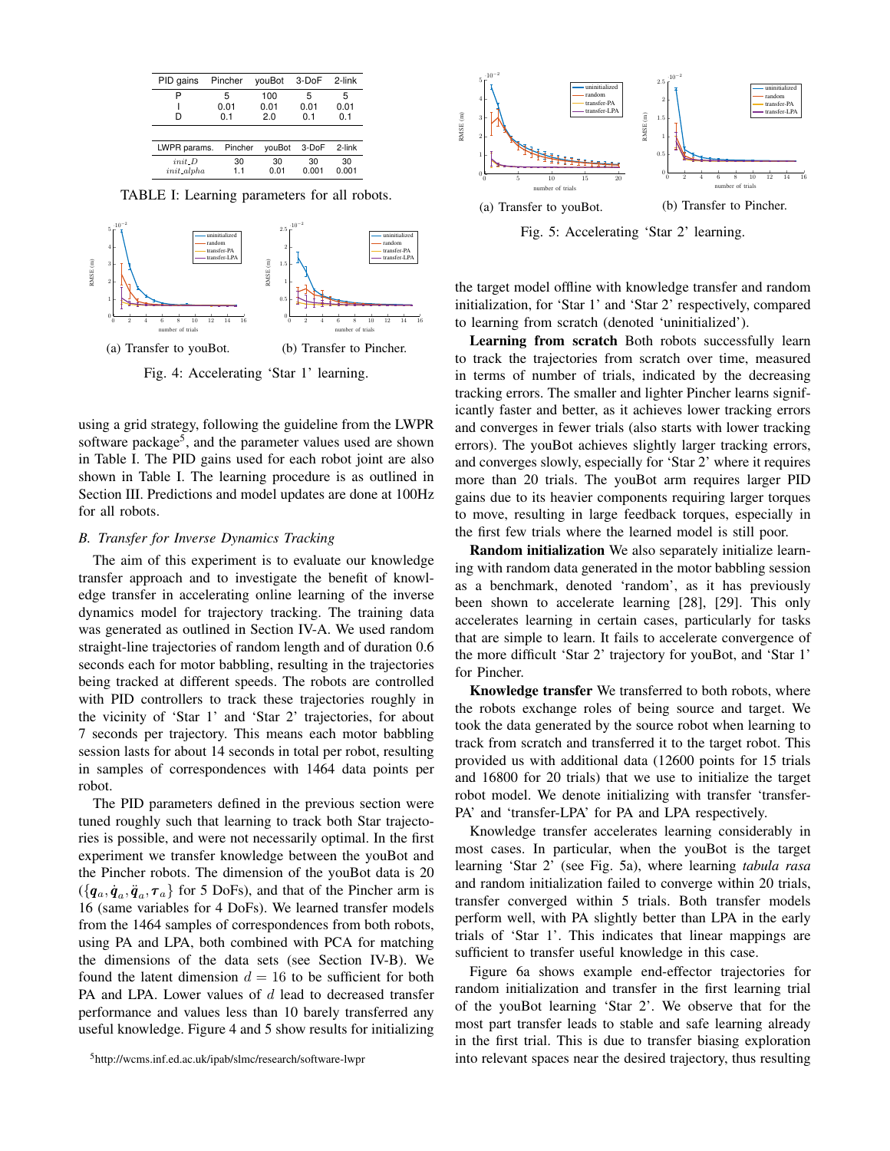| PID gains          | Pincher          | youBot             | 3-DoF            | 2-link           |
|--------------------|------------------|--------------------|------------------|------------------|
| P<br>D             | 5<br>0.01<br>0.1 | 100<br>0.01<br>2.0 | 5<br>0.01<br>0.1 | 5<br>0.01<br>0.1 |
| LWPR params.       | Pincher          | youBot             | 3-DoF            | 2-link           |
| init<br>init_alpha | 30<br>1.1        | 30<br>0.01         | 30<br>0.001      | 30<br>0.001      |

TABLE I: Learning parameters for all robots.



Fig. 4: Accelerating 'Star 1' learning.

using a grid strategy, following the guideline from the LWPR software package<sup>5</sup>, and the parameter values used are shown in Table I. The PID gains used for each robot joint are also shown in Table I. The learning procedure is as outlined in Section III. Predictions and model updates are done at 100Hz for all robots.

## *B. Transfer for Inverse Dynamics Tracking*

The aim of this experiment is to evaluate our knowledge transfer approach and to investigate the benefit of knowledge transfer in accelerating online learning of the inverse dynamics model for trajectory tracking. The training data was generated as outlined in Section IV-A. We used random straight-line trajectories of random length and of duration 0.6 seconds each for motor babbling, resulting in the trajectories being tracked at different speeds. The robots are controlled with PID controllers to track these trajectories roughly in the vicinity of 'Star 1' and 'Star 2' trajectories, for about 7 seconds per trajectory. This means each motor babbling session lasts for about 14 seconds in total per robot, resulting in samples of correspondences with 1464 data points per robot.

The PID parameters defined in the previous section were tuned roughly such that learning to track both Star trajectories is possible, and were not necessarily optimal. In the first experiment we transfer knowledge between the youBot and the Pincher robots. The dimension of the youBot data is 20  $(\{q_a, \dot{q}_a, \ddot{q}_a, \tau_a\}$  for 5 DoFs), and that of the Pincher arm is 16 (same variables for 4 DoFs). We learned transfer models from the 1464 samples of correspondences from both robots, using PA and LPA, both combined with PCA for matching the dimensions of the data sets (see Section IV-B). We found the latent dimension  $d = 16$  to be sufficient for both PA and LPA. Lower values of  $d$  lead to decreased transfer performance and values less than 10 barely transferred any useful knowledge. Figure 4 and 5 show results for initializing



Fig. 5: Accelerating 'Star 2' learning.

the target model offline with knowledge transfer and random initialization, for 'Star 1' and 'Star 2' respectively, compared to learning from scratch (denoted 'uninitialized').

Learning from scratch Both robots successfully learn to track the trajectories from scratch over time, measured in terms of number of trials, indicated by the decreasing tracking errors. The smaller and lighter Pincher learns significantly faster and better, as it achieves lower tracking errors and converges in fewer trials (also starts with lower tracking errors). The youBot achieves slightly larger tracking errors, and converges slowly, especially for 'Star 2' where it requires more than 20 trials. The youBot arm requires larger PID gains due to its heavier components requiring larger torques to move, resulting in large feedback torques, especially in the first few trials where the learned model is still poor.

Random initialization We also separately initialize learning with random data generated in the motor babbling session as a benchmark, denoted 'random', as it has previously been shown to accelerate learning [28], [29]. This only accelerates learning in certain cases, particularly for tasks that are simple to learn. It fails to accelerate convergence of the more difficult 'Star 2' trajectory for youBot, and 'Star 1' for Pincher.

Knowledge transfer We transferred to both robots, where the robots exchange roles of being source and target. We took the data generated by the source robot when learning to track from scratch and transferred it to the target robot. This provided us with additional data (12600 points for 15 trials and 16800 for 20 trials) that we use to initialize the target robot model. We denote initializing with transfer 'transfer-PA' and 'transfer-LPA' for PA and LPA respectively.

Knowledge transfer accelerates learning considerably in most cases. In particular, when the youBot is the target learning 'Star 2' (see Fig. 5a), where learning *tabula rasa* and random initialization failed to converge within 20 trials, transfer converged within 5 trials. Both transfer models perform well, with PA slightly better than LPA in the early trials of 'Star 1'. This indicates that linear mappings are sufficient to transfer useful knowledge in this case.

Figure 6a shows example end-effector trajectories for random initialization and transfer in the first learning trial of the youBot learning 'Star 2'. We observe that for the most part transfer leads to stable and safe learning already in the first trial. This is due to transfer biasing exploration into relevant spaces near the desired trajectory, thus resulting

<sup>5</sup>http://wcms.inf.ed.ac.uk/ipab/slmc/research/software-lwpr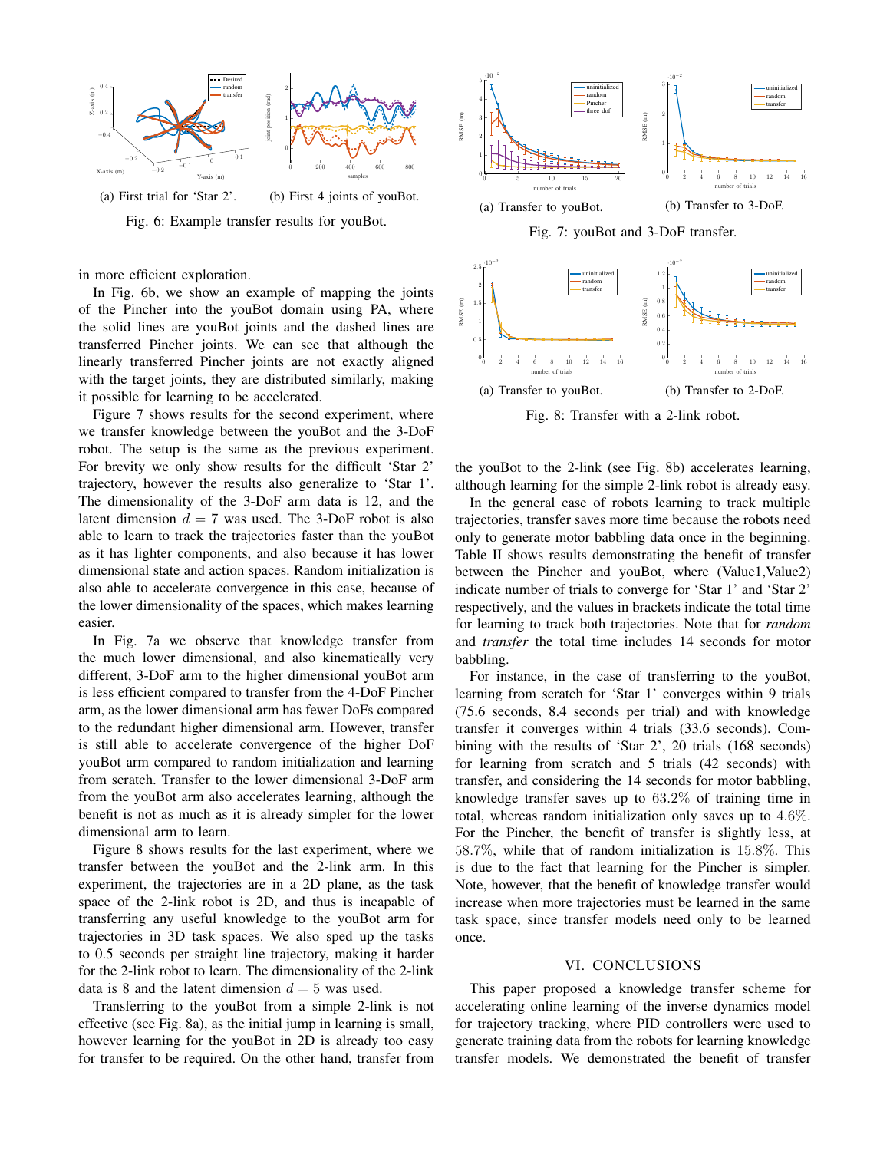

Fig. 6: Example transfer results for youBot.

in more efficient exploration.

In Fig. 6b, we show an example of mapping the joints of the Pincher into the youBot domain using PA, where the solid lines are youBot joints and the dashed lines are transferred Pincher joints. We can see that although the linearly transferred Pincher joints are not exactly aligned with the target joints, they are distributed similarly, making it possible for learning to be accelerated.

Figure 7 shows results for the second experiment, where we transfer knowledge between the youBot and the 3-DoF robot. The setup is the same as the previous experiment. For brevity we only show results for the difficult 'Star 2' trajectory, however the results also generalize to 'Star 1'. The dimensionality of the 3-DoF arm data is 12, and the latent dimension  $d = 7$  was used. The 3-DoF robot is also able to learn to track the trajectories faster than the youBot as it has lighter components, and also because it has lower dimensional state and action spaces. Random initialization is also able to accelerate convergence in this case, because of the lower dimensionality of the spaces, which makes learning easier.

In Fig. 7a we observe that knowledge transfer from the much lower dimensional, and also kinematically very different, 3-DoF arm to the higher dimensional youBot arm is less efficient compared to transfer from the 4-DoF Pincher arm, as the lower dimensional arm has fewer DoFs compared to the redundant higher dimensional arm. However, transfer is still able to accelerate convergence of the higher DoF youBot arm compared to random initialization and learning from scratch. Transfer to the lower dimensional 3-DoF arm from the youBot arm also accelerates learning, although the benefit is not as much as it is already simpler for the lower dimensional arm to learn.

Figure 8 shows results for the last experiment, where we transfer between the youBot and the 2-link arm. In this experiment, the trajectories are in a 2D plane, as the task space of the 2-link robot is 2D, and thus is incapable of transferring any useful knowledge to the youBot arm for trajectories in 3D task spaces. We also sped up the tasks to 0.5 seconds per straight line trajectory, making it harder for the 2-link robot to learn. The dimensionality of the 2-link data is 8 and the latent dimension  $d = 5$  was used.

Transferring to the youBot from a simple 2-link is not effective (see Fig. 8a), as the initial jump in learning is small, however learning for the youBot in 2D is already too easy for transfer to be required. On the other hand, transfer from





Fig. 8: Transfer with a 2-link robot.

the youBot to the 2-link (see Fig. 8b) accelerates learning, although learning for the simple 2-link robot is already easy.

In the general case of robots learning to track multiple trajectories, transfer saves more time because the robots need only to generate motor babbling data once in the beginning. Table II shows results demonstrating the benefit of transfer between the Pincher and youBot, where (Value1,Value2) indicate number of trials to converge for 'Star 1' and 'Star 2' respectively, and the values in brackets indicate the total time for learning to track both trajectories. Note that for *random* and *transfer* the total time includes 14 seconds for motor babbling.

For instance, in the case of transferring to the youBot, learning from scratch for 'Star 1' converges within 9 trials (75.6 seconds, 8.4 seconds per trial) and with knowledge transfer it converges within 4 trials (33.6 seconds). Combining with the results of 'Star 2', 20 trials (168 seconds) for learning from scratch and 5 trials (42 seconds) with transfer, and considering the 14 seconds for motor babbling, knowledge transfer saves up to 63.2% of training time in total, whereas random initialization only saves up to 4.6%. For the Pincher, the benefit of transfer is slightly less, at 58.7%, while that of random initialization is 15.8%. This is due to the fact that learning for the Pincher is simpler. Note, however, that the benefit of knowledge transfer would increase when more trajectories must be learned in the same task space, since transfer models need only to be learned once.

## VI. CONCLUSIONS

This paper proposed a knowledge transfer scheme for accelerating online learning of the inverse dynamics model for trajectory tracking, where PID controllers were used to generate training data from the robots for learning knowledge transfer models. We demonstrated the benefit of transfer